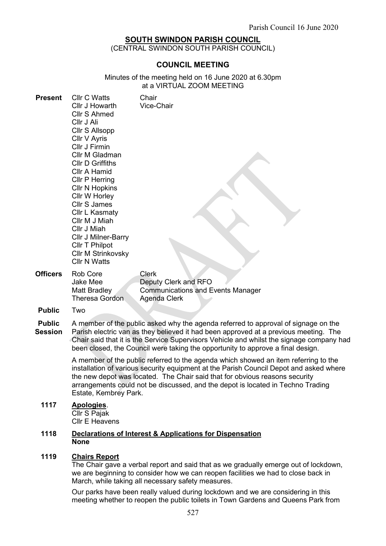# SOUTH SWINDON PARISH COUNCIL

(CENTRAL SWINDON SOUTH PARISH COUNCIL)

# COUNCIL MEETING

Minutes of the meeting held on 16 June 2020 at 6.30pm at a VIRTUAL ZOOM MEETING

| <b>Present</b>  | <b>Cllr C Watts</b><br>Cllr J Howarth<br>Cllr S Ahmed<br>Cllr J Ali<br>Cllr S Allsopp<br>Cllr V Ayris<br>Cllr J Firmin<br>Cllr M Gladman<br><b>Cllr D Griffiths</b><br>Cllr A Hamid<br><b>Cllr P Herring</b><br><b>Cllr N Hopkins</b><br>Cllr W Horley<br><b>Cllr S James</b><br>Cllr L Kasmaty<br>Cllr M J Miah<br>Cllr J Miah<br>Cllr J Milner-Barry<br>Cllr T Philpot<br><b>Cllr M Strinkovsky</b><br><b>Cllr N Watts</b> | Chair<br>Vice-Chair                                                                       |
|-----------------|------------------------------------------------------------------------------------------------------------------------------------------------------------------------------------------------------------------------------------------------------------------------------------------------------------------------------------------------------------------------------------------------------------------------------|-------------------------------------------------------------------------------------------|
| <b>Officers</b> | <b>Rob Core</b><br><b>Jake Mee</b><br><b>Matt Bradley</b><br>Theresa Gordon                                                                                                                                                                                                                                                                                                                                                  | Clerk<br>Deputy Clerk and RFO<br><b>Communications and Events Manager</b><br>Agenda Clerk |
| <b>Public</b>   | Two                                                                                                                                                                                                                                                                                                                                                                                                                          |                                                                                           |
| Duklia          |                                                                                                                                                                                                                                                                                                                                                                                                                              | $\Lambda$ momber of the public soked why the saende referred to enprovel of eight         |

Public **Session** A member of the public asked why the agenda referred to approval of signage on the Parish electric van as they believed it had been approved at a previous meeting. The Chair said that it is the Service Supervisors Vehicle and whilst the signage company had been closed, the Council were taking the opportunity to approve a final design.

> A member of the public referred to the agenda which showed an item referring to the installation of various security equipment at the Parish Council Depot and asked where the new depot was located. The Chair said that for obvious reasons security arrangements could not be discussed, and the depot is located in Techno Trading Estate, Kembrey Park.

# 1117 Apologies.

Cllr S Pajak Cllr E Heavens

#### 1118 Declarations of Interest & Applications for Dispensation None

### 1119 Chairs Report

The Chair gave a verbal report and said that as we gradually emerge out of lockdown, we are beginning to consider how we can reopen facilities we had to close back in March, while taking all necessary safety measures.

Our parks have been really valued during lockdown and we are considering in this meeting whether to reopen the public toilets in Town Gardens and Queens Park from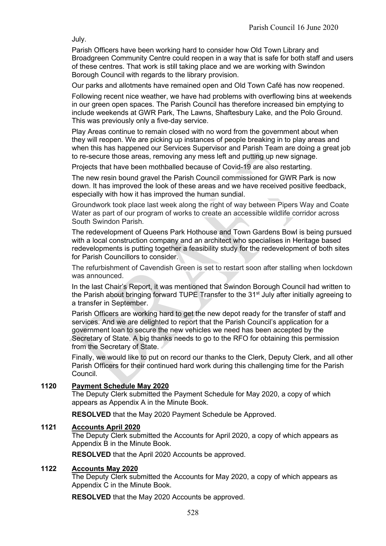July.

Parish Officers have been working hard to consider how Old Town Library and Broadgreen Community Centre could reopen in a way that is safe for both staff and users of these centres. That work is still taking place and we are working with Swindon Borough Council with regards to the library provision.

Our parks and allotments have remained open and Old Town Café has now reopened.

Following recent nice weather, we have had problems with overflowing bins at weekends in our green open spaces. The Parish Council has therefore increased bin emptying to include weekends at GWR Park, The Lawns, Shaftesbury Lake, and the Polo Ground. This was previously only a five-day service.

Play Areas continue to remain closed with no word from the government about when they will reopen. We are picking up instances of people breaking in to play areas and when this has happened our Services Supervisor and Parish Team are doing a great job to re-secure those areas, removing any mess left and putting up new signage.

Projects that have been mothballed because of Covid-19 are also restarting.

The new resin bound gravel the Parish Council commissioned for GWR Park is now down. It has improved the look of these areas and we have received positive feedback, especially with how it has improved the human sundial.

Groundwork took place last week along the right of way between Pipers Way and Coate Water as part of our program of works to create an accessible wildlife corridor across South Swindon Parish.

The redevelopment of Queens Park Hothouse and Town Gardens Bowl is being pursued with a local construction company and an architect who specialises in Heritage based redevelopments is putting together a feasibility study for the redevelopment of both sites for Parish Councillors to consider.

The refurbishment of Cavendish Green is set to restart soon after stalling when lockdown was announced.

In the last Chair's Report, it was mentioned that Swindon Borough Council had written to the Parish about bringing forward TUPE Transfer to the 31<sup>st</sup> July after initially agreeing to a transfer in September.

Parish Officers are working hard to get the new depot ready for the transfer of staff and services. And we are delighted to report that the Parish Council's application for a government loan to secure the new vehicles we need has been accepted by the Secretary of State. A big thanks needs to go to the RFO for obtaining this permission from the Secretary of State.

Finally, we would like to put on record our thanks to the Clerk, Deputy Clerk, and all other Parish Officers for their continued hard work during this challenging time for the Parish Council.

# 1120 Payment Schedule May 2020

The Deputy Clerk submitted the Payment Schedule for May 2020, a copy of which appears as Appendix A in the Minute Book.

RESOLVED that the May 2020 Payment Schedule be Approved.

# 1121 Accounts April 2020

The Deputy Clerk submitted the Accounts for April 2020, a copy of which appears as Appendix B in the Minute Book.

RESOLVED that the April 2020 Accounts be approved.

# 1122 Accounts May 2020

The Deputy Clerk submitted the Accounts for May 2020, a copy of which appears as Appendix C in the Minute Book.

RESOLVED that the May 2020 Accounts be approved.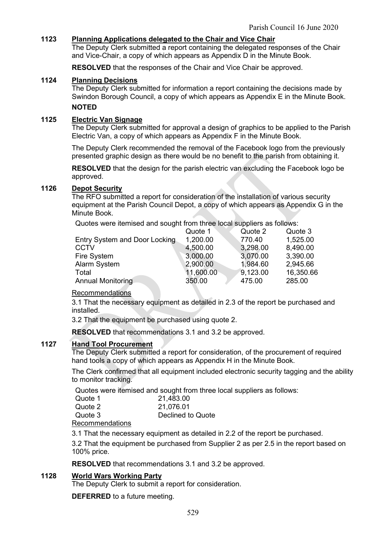# 1123 Planning Applications delegated to the Chair and Vice Chair

The Deputy Clerk submitted a report containing the delegated responses of the Chair and Vice-Chair, a copy of which appears as Appendix D in the Minute Book.

RESOLVED that the responses of the Chair and Vice Chair be approved.

### 1124 Planning Decisions

The Deputy Clerk submitted for information a report containing the decisions made by Swindon Borough Council, a copy of which appears as Appendix E in the Minute Book. **NOTED** 

# 1125 Electric Van Signage

The Deputy Clerk submitted for approval a design of graphics to be applied to the Parish Electric Van, a copy of which appears as Appendix F in the Minute Book.

The Deputy Clerk recommended the removal of the Facebook logo from the previously presented graphic design as there would be no benefit to the parish from obtaining it.

RESOLVED that the design for the parish electric van excluding the Facebook logo be approved.

### 1126 Depot Security

The RFO submitted a report for consideration of the installation of various security equipment at the Parish Council Depot, a copy of which appears as Appendix G in the Minute Book.

Quotes were itemised and sought from three local suppliers as follows:

|                               | Quote 1   | Quote 2  | Quote 3   |
|-------------------------------|-----------|----------|-----------|
| Entry System and Door Locking | 1,200.00  | 770.40   | 1,525.00  |
| <b>CCTV</b>                   | 4,500.00  | 3,298.00 | 8,490.00  |
| Fire System                   | 3,000.00  | 3,070.00 | 3,390.00  |
| Alarm System                  | 2,900.00  | 1,984.60 | 2,945.66  |
| Total                         | 11,600.00 | 9,123.00 | 16,350.66 |
| <b>Annual Monitoring</b>      | 350.00    | 475.00   | 285.00    |

# Recommendations

3.1 That the necessary equipment as detailed in 2.3 of the report be purchased and installed.

3.2 That the equipment be purchased using quote 2.

RESOLVED that recommendations 3.1 and 3.2 be approved.

# 1127 Hand Tool Procurement

The Deputy Clerk submitted a report for consideration, of the procurement of required hand tools a copy of which appears as Appendix H in the Minute Book.

The Clerk confirmed that all equipment included electronic security tagging and the ability to monitor tracking.

Quotes were itemised and sought from three local suppliers as follows:

| Quote 1 | 21,483.00         |
|---------|-------------------|
| Quote 2 | 21,076.01         |
| Quote 3 | Declined to Quote |
|         |                   |

Recommendations

3.1 That the necessary equipment as detailed in 2.2 of the report be purchased.

3.2 That the equipment be purchased from Supplier 2 as per 2.5 in the report based on 100% price.

RESOLVED that recommendations 3.1 and 3.2 be approved.

# 1128 World Wars Working Party

The Deputy Clerk to submit a report for consideration.

DEFERRED to a future meeting.